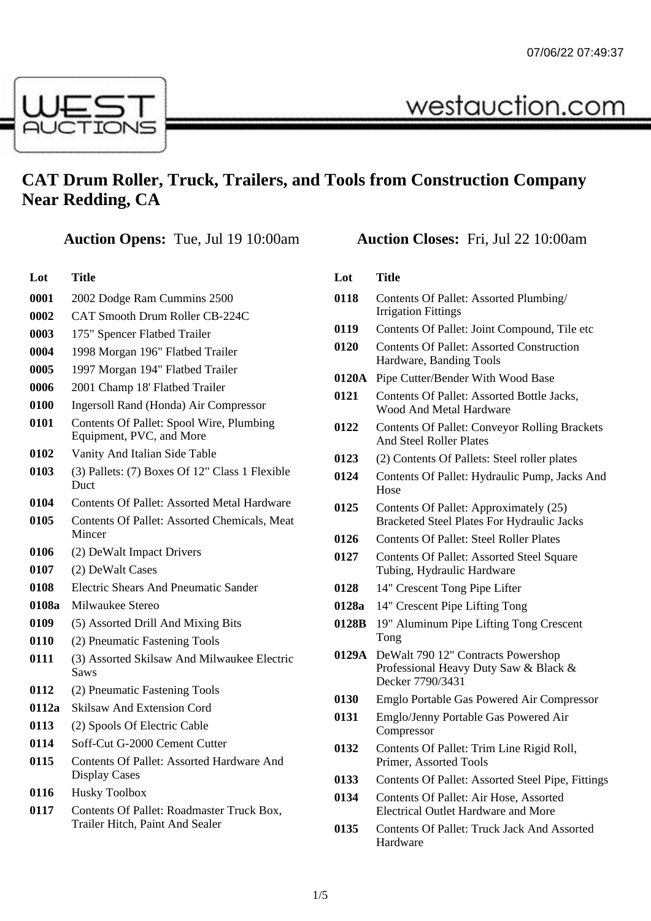westauction.com



## **CAT Drum Roller, Truck, Trailers, and Tools from Construction Company Near Redding, CA**

## **Auction Opens:** Tue, Jul 19 10:00am **Auction Closes:** Fri, Jul 22 10:00am

| Lot   | <b>Title</b>                                                                 |
|-------|------------------------------------------------------------------------------|
| 0001  | 2002 Dodge Ram Cummins 2500                                                  |
| 0002  | CAT Smooth Drum Roller CB-224C                                               |
| 0003  | 175" Spencer Flatbed Trailer                                                 |
| 0004  | 1998 Morgan 196" Flatbed Trailer                                             |
| 0005  | 1997 Morgan 194" Flatbed Trailer                                             |
| 0006  | 2001 Champ 18' Flatbed Trailer                                               |
| 0100  | <b>Ingersoll Rand (Honda) Air Compressor</b>                                 |
| 0101  | Contents Of Pallet: Spool Wire, Plumbing<br>Equipment, PVC, and More         |
| 0102  | Vanity And Italian Side Table                                                |
| 0103  | (3) Pallets: (7) Boxes Of 12" Class 1 Flexible<br>Duct                       |
| 0104  | <b>Contents Of Pallet: Assorted Metal Hardware</b>                           |
| 0105  | Contents Of Pallet: Assorted Chemicals, Meat<br>Mincer                       |
| 0106  | (2) DeWalt Impact Drivers                                                    |
| 0107  | (2) DeWalt Cases                                                             |
| 0108  | <b>Electric Shears And Pneumatic Sander</b>                                  |
| 0108a | Milwaukee Stereo                                                             |
| 0109  | (5) Assorted Drill And Mixing Bits                                           |
| 0110  | (2) Pneumatic Fastening Tools                                                |
| 0111  | (3) Assorted Skilsaw And Milwaukee Electric<br>Saws                          |
| 0112  | (2) Pneumatic Fastening Tools                                                |
| 0112a | <b>Skilsaw And Extension Cord</b>                                            |
| 0113  | (2) Spools Of Electric Cable                                                 |
| 0114  | Soff-Cut G-2000 Cement Cutter                                                |
| 0115  | <b>Contents Of Pallet: Assorted Hardware And</b><br><b>Display Cases</b>     |
| 0116  | <b>Husky Toolbox</b>                                                         |
| 0117  | Contents Of Pallet: Roadmaster Truck Box,<br>Trailer Hitch, Paint And Sealer |
|       |                                                                              |

| Lot   | Title                                                                                           |
|-------|-------------------------------------------------------------------------------------------------|
| 0118  | Contents Of Pallet: Assorted Plumbing/<br><b>Irrigation Fittings</b>                            |
| 0119  | Contents Of Pallet: Joint Compound, Tile etc                                                    |
| 0120  | <b>Contents Of Pallet: Assorted Construction</b><br>Hardware, Banding Tools                     |
| 0120A | Pipe Cutter/Bender With Wood Base                                                               |
| 0121  | Contents Of Pallet: Assorted Bottle Jacks,<br>Wood And Metal Hardware                           |
| 0122  | <b>Contents Of Pallet: Conveyor Rolling Brackets</b><br><b>And Steel Roller Plates</b>          |
| 0123  | (2) Contents Of Pallets: Steel roller plates                                                    |
| 0124  | Contents Of Pallet: Hydraulic Pump, Jacks And<br>Hose                                           |
| 0125  | Contents Of Pallet: Approximately (25)<br><b>Bracketed Steel Plates For Hydraulic Jacks</b>     |
| 0126  | <b>Contents Of Pallet: Steel Roller Plates</b>                                                  |
| 0127  | <b>Contents Of Pallet: Assorted Steel Square</b><br>Tubing, Hydraulic Hardware                  |
| 0128  | 14" Crescent Tong Pipe Lifter                                                                   |
| 0128a | 14" Crescent Pipe Lifting Tong                                                                  |
| 0128B | 19" Aluminum Pipe Lifting Tong Crescent<br>Tong                                                 |
| 0129A | DeWalt 790 12" Contracts Powershop<br>Professional Heavy Duty Saw & Black &<br>Decker 7790/3431 |
| 0130  | Emglo Portable Gas Powered Air Compressor                                                       |
| 0131  | Emglo/Jenny Portable Gas Powered Air<br>Compressor                                              |
| 0132  | Contents Of Pallet: Trim Line Rigid Roll,<br>Primer, Assorted Tools                             |
|       |                                                                                                 |

- **0133** Contents Of Pallet: Assorted Steel Pipe, Fittings
- **0134** Contents Of Pallet: Air Hose, Assorted Electrical Outlet Hardware and More
- **0135** Contents Of Pallet: Truck Jack And Assorted Hardware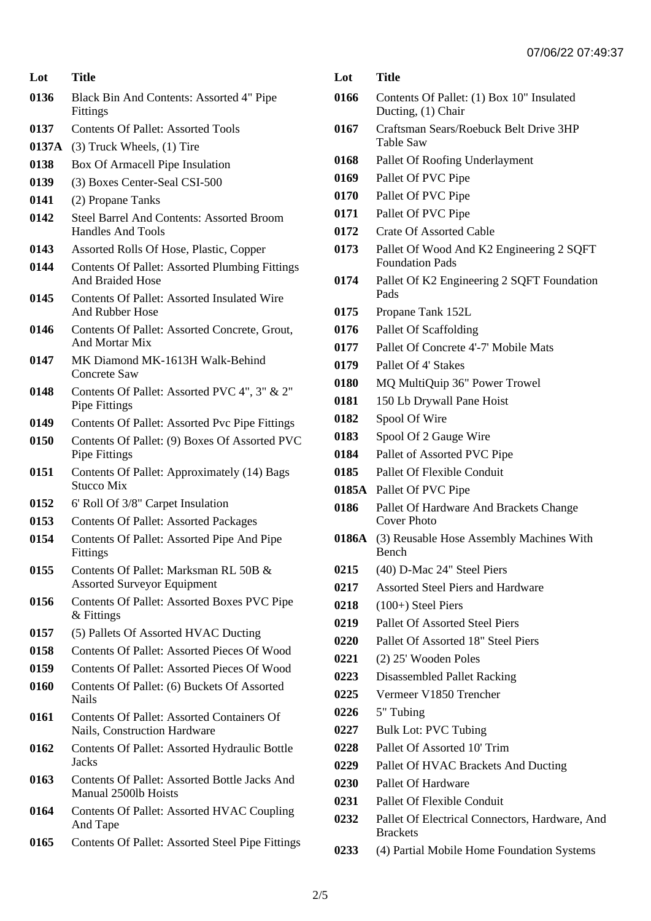| Lot   | <b>Title</b>                                                                      |
|-------|-----------------------------------------------------------------------------------|
| 0136  | Black Bin And Contents: Assorted 4" Pipe<br>Fittings                              |
| 0137  | <b>Contents Of Pallet: Assorted Tools</b>                                         |
| 0137A | $(3)$ Truck Wheels, $(1)$ Tire                                                    |
| 0138  | Box Of Armacell Pipe Insulation                                                   |
| 0139  | (3) Boxes Center-Seal CSI-500                                                     |
| 0141  | (2) Propane Tanks                                                                 |
| 0142  | <b>Steel Barrel And Contents: Assorted Broom</b><br><b>Handles And Tools</b>      |
| 0143  | Assorted Rolls Of Hose, Plastic, Copper                                           |
| 0144  | <b>Contents Of Pallet: Assorted Plumbing Fittings</b><br><b>And Braided Hose</b>  |
| 0145  | <b>Contents Of Pallet: Assorted Insulated Wire</b><br>And Rubber Hose             |
| 0146  | Contents Of Pallet: Assorted Concrete, Grout,<br><b>And Mortar Mix</b>            |
| 0147  | MK Diamond MK-1613H Walk-Behind<br>Concrete Saw                                   |
| 0148  | Contents Of Pallet: Assorted PVC 4", 3" & 2"<br>Pipe Fittings                     |
| 0149  | Contents Of Pallet: Assorted Pvc Pipe Fittings                                    |
| 0150  | Contents Of Pallet: (9) Boxes Of Assorted PVC<br>Pipe Fittings                    |
| 0151  | Contents Of Pallet: Approximately (14) Bags<br>Stucco Mix                         |
| 0152  | 6' Roll Of 3/8" Carpet Insulation                                                 |
| 0153  | <b>Contents Of Pallet: Assorted Packages</b>                                      |
| 0154  | Contents Of Pallet: Assorted Pipe And Pipe<br>Fittings                            |
| 0155  | Contents Of Pallet: Marksman RL 50B &<br><b>Assorted Surveyor Equipment</b>       |
| 0156  | <b>Contents Of Pallet: Assorted Boxes PVC Pipe</b><br>& Fittings                  |
| 0157  | (5) Pallets Of Assorted HVAC Ducting                                              |
| 0158  | <b>Contents Of Pallet: Assorted Pieces Of Wood</b>                                |
| 0159  | Contents Of Pallet: Assorted Pieces Of Wood                                       |
| 0160  | Contents Of Pallet: (6) Buckets Of Assorted<br><b>Nails</b>                       |
| 0161  | <b>Contents Of Pallet: Assorted Containers Of</b><br>Nails, Construction Hardware |
| 0162  | <b>Contents Of Pallet: Assorted Hydraulic Bottle</b><br>Jacks                     |
| 0163  | Contents Of Pallet: Assorted Bottle Jacks And<br>Manual 2500lb Hoists             |
| 0164  | <b>Contents Of Pallet: Assorted HVAC Coupling</b><br>And Tape                     |
| 0165  | Contents Of Pallet: Assorted Steel Pipe Fittings                                  |

| Lot   | <b>Title</b>                                                       |
|-------|--------------------------------------------------------------------|
| 0166  | Contents Of Pallet: (1) Box 10" Insulated<br>Ducting, (1) Chair    |
| 0167  | Craftsman Sears/Roebuck Belt Drive 3HP<br><b>Table Saw</b>         |
| 0168  | Pallet Of Roofing Underlayment                                     |
| 0169  | Pallet Of PVC Pipe                                                 |
| 0170  | Pallet Of PVC Pipe                                                 |
| 0171  | Pallet Of PVC Pipe                                                 |
| 0172  | <b>Crate Of Assorted Cable</b>                                     |
| 0173  | Pallet Of Wood And K2 Engineering 2 SQFT<br><b>Foundation Pads</b> |
| 0174  | Pallet Of K2 Engineering 2 SQFT Foundation<br>Pads                 |
| 0175  | Propane Tank 152L                                                  |
| 0176  | Pallet Of Scaffolding                                              |
| 0177  | Pallet Of Concrete 4'-7' Mobile Mats                               |
| 0179  | Pallet Of 4' Stakes                                                |
| 0180  | MQ MultiQuip 36" Power Trowel                                      |
| 0181  | 150 Lb Drywall Pane Hoist                                          |
| 0182  | Spool Of Wire                                                      |
| 0183  | Spool Of 2 Gauge Wire                                              |
| 0184  | Pallet of Assorted PVC Pipe                                        |
| 0185  | Pallet Of Flexible Conduit                                         |
| 0185A | Pallet Of PVC Pipe                                                 |
| 0186  | Pallet Of Hardware And Brackets Change<br>Cover Photo              |
| 0186A | (3) Reusable Hose Assembly Machines With<br>Bench                  |
| 0215  | (40) D-Mac 24" Steel Piers                                         |
| 0217  | Assorted Steel Piers and Hardware                                  |
| 0218  | $(100+)$ Steel Piers                                               |
| 0219  | Pallet Of Assorted Steel Piers                                     |
| 0220  | Pallet Of Assorted 18" Steel Piers                                 |
| 0221  | (2) 25' Wooden Poles                                               |
| 0223  | Disassembled Pallet Racking                                        |
| 0225  | Vermeer V1850 Trencher                                             |
| 0226  | 5" Tubing                                                          |
| 0227  | <b>Bulk Lot: PVC Tubing</b>                                        |
| 0228  | Pallet Of Assorted 10' Trim                                        |
| 0229  | Pallet Of HVAC Brackets And Ducting                                |
| 0230  | Pallet Of Hardware                                                 |
| 0231  | Pallet Of Flexible Conduit                                         |
| 0232  | Pallet Of Electrical Connectors, Hardware, And<br><b>Brackets</b>  |

(4) Partial Mobile Home Foundation Systems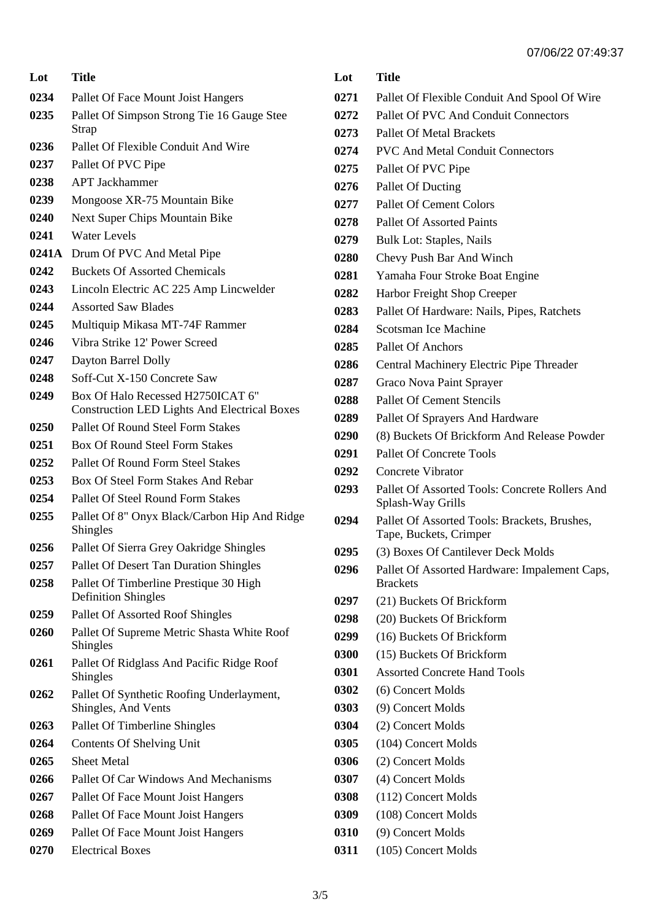| Lot   | Title                                                                                    |
|-------|------------------------------------------------------------------------------------------|
| 0234  | Pallet Of Face Mount Joist Hangers                                                       |
| 0235  | Pallet Of Simpson Strong Tie 16 Gauge Stee<br>Strap                                      |
| 0236  | Pallet Of Flexible Conduit And Wire                                                      |
| 0237  | Pallet Of PVC Pipe                                                                       |
| 0238  | <b>APT</b> Jackhammer                                                                    |
| 0239  | Mongoose XR-75 Mountain Bike                                                             |
| 0240  | Next Super Chips Mountain Bike                                                           |
| 0241  | <b>Water Levels</b>                                                                      |
| 0241A | Drum Of PVC And Metal Pipe                                                               |
| 0242  | <b>Buckets Of Assorted Chemicals</b>                                                     |
| 0243  | Lincoln Electric AC 225 Amp Lincwelder                                                   |
| 0244  | <b>Assorted Saw Blades</b>                                                               |
| 0245  | Multiquip Mikasa MT-74F Rammer                                                           |
| 0246  | Vibra Strike 12' Power Screed                                                            |
| 0247  | Dayton Barrel Dolly                                                                      |
| 0248  | Soff-Cut X-150 Concrete Saw                                                              |
| 0249  | Box Of Halo Recessed H2750ICAT 6"<br><b>Construction LED Lights And Electrical Boxes</b> |
| 0250  | Pallet Of Round Steel Form Stakes                                                        |
| 0251  | <b>Box Of Round Steel Form Stakes</b>                                                    |
| 0252  | Pallet Of Round Form Steel Stakes                                                        |
| 0253  | Box Of Steel Form Stakes And Rebar                                                       |
| 0254  | Pallet Of Steel Round Form Stakes                                                        |
| 0255  | Pallet Of 8" Onyx Black/Carbon Hip And Ridge<br>Shingles                                 |
| 0256  | Pallet Of Sierra Grey Oakridge Shingles                                                  |
| 0257  | Pallet Of Desert Tan Duration Shingles                                                   |
| 0258  | Pallet Of Timberline Prestique 30 High<br><b>Definition Shingles</b>                     |
| 0259  | Pallet Of Assorted Roof Shingles                                                         |
| 0260  | Pallet Of Supreme Metric Shasta White Roof<br>Shingles                                   |
| 0261  | Pallet Of Ridglass And Pacific Ridge Roof<br>Shingles                                    |
| 0262  | Pallet Of Synthetic Roofing Underlayment,<br>Shingles, And Vents                         |
| 0263  | Pallet Of Timberline Shingles                                                            |
| 0264  | <b>Contents Of Shelving Unit</b>                                                         |
| 0265  | <b>Sheet Metal</b>                                                                       |
| 0266  | Pallet Of Car Windows And Mechanisms                                                     |
| 0267  | Pallet Of Face Mount Joist Hangers                                                       |
| 0268  | Pallet Of Face Mount Joist Hangers                                                       |
| 0269  | Pallet Of Face Mount Joist Hangers                                                       |
| 0270  | <b>Electrical Boxes</b>                                                                  |

| Lot  | <b>Title</b>                                                           |
|------|------------------------------------------------------------------------|
| 0271 | Pallet Of Flexible Conduit And Spool Of Wire                           |
| 0272 | Pallet Of PVC And Conduit Connectors                                   |
| 0273 | <b>Pallet Of Metal Brackets</b>                                        |
| 0274 | <b>PVC And Metal Conduit Connectors</b>                                |
| 0275 | Pallet Of PVC Pipe                                                     |
| 0276 | Pallet Of Ducting                                                      |
| 0277 | <b>Pallet Of Cement Colors</b>                                         |
| 0278 | <b>Pallet Of Assorted Paints</b>                                       |
| 0279 | <b>Bulk Lot: Staples, Nails</b>                                        |
| 0280 | Chevy Push Bar And Winch                                               |
| 0281 | Yamaha Four Stroke Boat Engine                                         |
| 0282 | Harbor Freight Shop Creeper                                            |
| 0283 | Pallet Of Hardware: Nails, Pipes, Ratchets                             |
| 0284 | Scotsman Ice Machine                                                   |
| 0285 | <b>Pallet Of Anchors</b>                                               |
| 0286 | Central Machinery Electric Pipe Threader                               |
| 0287 | Graco Nova Paint Sprayer                                               |
| 0288 | <b>Pallet Of Cement Stencils</b>                                       |
| 0289 | Pallet Of Sprayers And Hardware                                        |
| 0290 | (8) Buckets Of Brickform And Release Powder                            |
| 0291 | <b>Pallet Of Concrete Tools</b>                                        |
| 0292 | <b>Concrete Vibrator</b>                                               |
| 0293 | Pallet Of Assorted Tools: Concrete Rollers And<br>Splash-Way Grills    |
| 0294 | Pallet Of Assorted Tools: Brackets, Brushes,<br>Tape, Buckets, Crimper |
| 0295 | (3) Boxes Of Cantilever Deck Molds                                     |
| 0296 | Pallet Of Assorted Hardware: Impalement Caps,<br><b>Brackets</b>       |
| 0297 | (21) Buckets Of Brickform                                              |
| 0298 | (20) Buckets Of Brickform                                              |
| 0299 | (16) Buckets Of Brickform                                              |
| 0300 | (15) Buckets Of Brickform                                              |
| 0301 | <b>Assorted Concrete Hand Tools</b>                                    |
| 0302 | (6) Concert Molds                                                      |
| 0303 | (9) Concert Molds                                                      |
| 0304 | (2) Concert Molds                                                      |
| 0305 | (104) Concert Molds                                                    |
| 0306 | (2) Concert Molds                                                      |
| 0307 | (4) Concert Molds                                                      |
| 0308 | (112) Concert Molds                                                    |
| 0309 | (108) Concert Molds                                                    |
| 0310 | (9) Concert Molds                                                      |
| 0311 | (105) Concert Molds                                                    |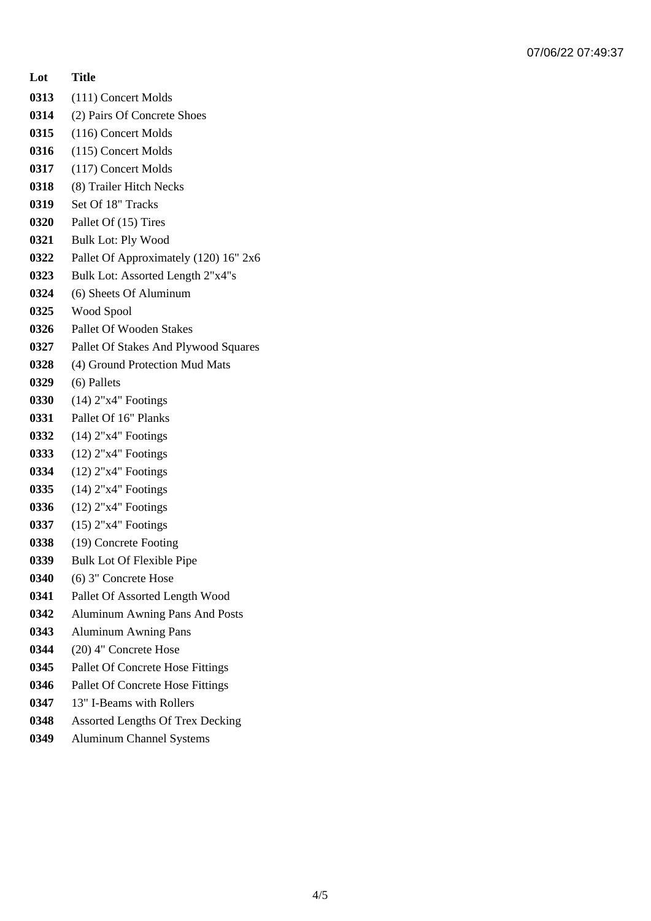| Lot  | <b>Title</b>                          |
|------|---------------------------------------|
| 0313 | (111) Concert Molds                   |
| 0314 | (2) Pairs Of Concrete Shoes           |
| 0315 | (116) Concert Molds                   |
| 0316 | (115) Concert Molds                   |
| 0317 | (117) Concert Molds                   |
| 0318 | (8) Trailer Hitch Necks               |
| 0319 | Set Of 18" Tracks                     |
| 0320 | Pallet Of (15) Tires                  |
| 0321 | <b>Bulk Lot: Ply Wood</b>             |
| 0322 | Pallet Of Approximately (120) 16" 2x6 |
| 0323 | Bulk Lot: Assorted Length 2"x4"s      |
| 0324 | (6) Sheets Of Aluminum                |
| 0325 | Wood Spool                            |
| 0326 | Pallet Of Wooden Stakes               |
| 0327 | Pallet Of Stakes And Plywood Squares  |
| 0328 | (4) Ground Protection Mud Mats        |
| 0329 | $(6)$ Pallets                         |
| 0330 | $(14)$ 2"x4" Footings                 |
| 0331 | Pallet Of 16" Planks                  |
| 0332 | $(14)$ 2"x4" Footings                 |
| 0333 | $(12)$ 2"x4" Footings                 |
| 0334 | $(12)$ 2"x4" Footings                 |
| 0335 | $(14)$ 2"x4" Footings                 |
| 0336 | $(12)$ 2"x4" Footings                 |
| 0337 | $(15)$ 2"x4" Footings                 |
| 0338 | (19) Concrete Footing                 |
| 0339 | <b>Bulk Lot Of Flexible Pipe</b>      |
| 0340 | (6) 3" Concrete Hose                  |
| 0341 | Pallet Of Assorted Length Wood        |
| 0342 | <b>Aluminum Awning Pans And Posts</b> |
| 0343 | <b>Aluminum Awning Pans</b>           |
| 0344 | (20) 4" Concrete Hose                 |
| 0345 | Pallet Of Concrete Hose Fittings      |
| 0346 | Pallet Of Concrete Hose Fittings      |

- 13" I-Beams with Rollers
- Assorted Lengths Of Trex Decking
- Aluminum Channel Systems